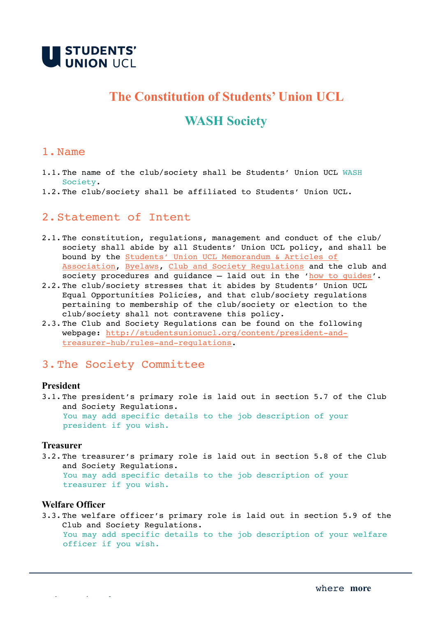

# **The Constitution of Students' Union UCL**

## **WASH Society**

## 1.Name

- 1.1.The name of the club/society shall be Students' Union UCL WASH Society.
- 1.2.The club/society shall be affiliated to Students' Union UCL.

## 2.Statement of Intent

- 2.1.The constitution, regulations, management and conduct of the club/ society shall abide by all Students' Union UCL policy, and shall be bound by the [Students' Union UCL Memorandum & Articles of](http://studentsunionucl.org/governing-documents)  [Association,](http://studentsunionucl.org/governing-documents) [Byelaws,](http://studentsunionucl.org/governing-documents) [Club and Society Regulations](http://studentsunionucl.org/content/president-and-treasurer-hub/rules-and-regulations) and the club and society procedures and guidance - laid out in the '[how to guides'](https://studentsunionucl.org/how-to-guides).
- 2.2.The club/society stresses that it abides by Students' Union UCL Equal Opportunities Policies, and that club/society regulations pertaining to membership of the club/society or election to the club/society shall not contravene this policy.
- 2.3.The Club and Society Regulations can be found on the following [webpage: http://studentsunionucl.org/content/president-and](http://studentsunionucl.org/content/president-and-treasurer-hub/rules-and-regulations)[treasurer-hub/rules-and-regulations.](http://studentsunionucl.org/content/president-and-treasurer-hub/rules-and-regulations)

## 3.The Society Committee

#### **President**

3.1.The president's primary role is laid out in section 5.7 of the Club and Society Regulations. You may add specific details to the job description of your president if you wish.

#### **Treasurer**

3.2.The treasurer's primary role is laid out in section 5.8 of the Club and Society Regulations. You may add specific details to the job description of your treasurer if you wish.

#### **Welfare Officer**

studentsunionucl.org

3.3.The welfare officer's primary role is laid out in section 5.9 of the Club and Society Regulations. You may add specific details to the job description of your welfare officer if you wish.